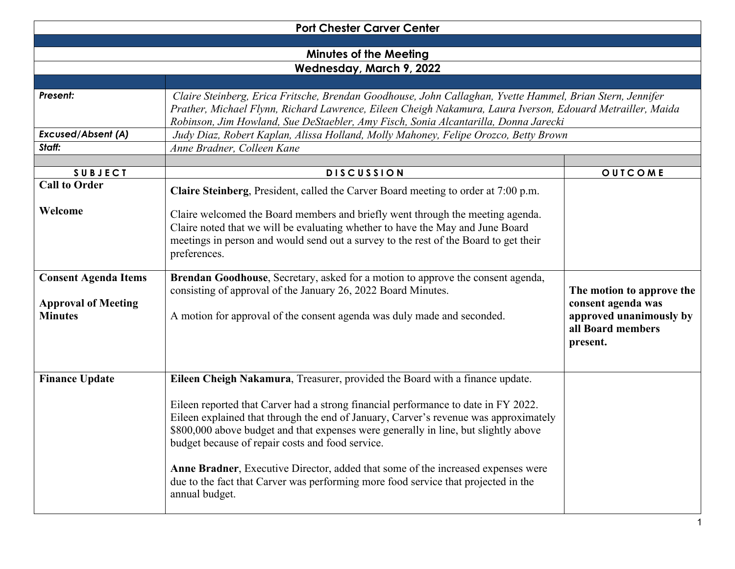| <b>Port Chester Carver Center</b>                                           |                                                                                                                                                                                                                                                                                                                                                                                                                                                                                                                                                                                                   |                                                                                                             |  |  |
|-----------------------------------------------------------------------------|---------------------------------------------------------------------------------------------------------------------------------------------------------------------------------------------------------------------------------------------------------------------------------------------------------------------------------------------------------------------------------------------------------------------------------------------------------------------------------------------------------------------------------------------------------------------------------------------------|-------------------------------------------------------------------------------------------------------------|--|--|
| <b>Minutes of the Meeting</b><br>Wednesday, March 9, 2022                   |                                                                                                                                                                                                                                                                                                                                                                                                                                                                                                                                                                                                   |                                                                                                             |  |  |
| Present:<br><b>Excused/Absent (A)</b><br>Staff:                             | Claire Steinberg, Erica Fritsche, Brendan Goodhouse, John Callaghan, Yvette Hammel, Brian Stern, Jennifer<br>Prather, Michael Flynn, Richard Lawrence, Eileen Cheigh Nakamura, Laura Iverson, Edouard Metrailler, Maida<br>Robinson, Jim Howland, Sue DeStaebler, Amy Fisch, Sonia Alcantarilla, Donna Jarecki<br>Judy Diaz, Robert Kaplan, Alissa Holland, Molly Mahoney, Felipe Orozco, Betty Brown<br>Anne Bradner, Colleen Kane                                                                                                                                                               |                                                                                                             |  |  |
| <b>SUBJECT</b>                                                              | <b>DISCUSSION</b>                                                                                                                                                                                                                                                                                                                                                                                                                                                                                                                                                                                 | OUTCOME                                                                                                     |  |  |
| <b>Call to Order</b>                                                        | Claire Steinberg, President, called the Carver Board meeting to order at 7:00 p.m.                                                                                                                                                                                                                                                                                                                                                                                                                                                                                                                |                                                                                                             |  |  |
| Welcome                                                                     | Claire welcomed the Board members and briefly went through the meeting agenda.<br>Claire noted that we will be evaluating whether to have the May and June Board<br>meetings in person and would send out a survey to the rest of the Board to get their<br>preferences.                                                                                                                                                                                                                                                                                                                          |                                                                                                             |  |  |
| <b>Consent Agenda Items</b><br><b>Approval of Meeting</b><br><b>Minutes</b> | Brendan Goodhouse, Secretary, asked for a motion to approve the consent agenda,<br>consisting of approval of the January 26, 2022 Board Minutes.<br>A motion for approval of the consent agenda was duly made and seconded.                                                                                                                                                                                                                                                                                                                                                                       | The motion to approve the<br>consent agenda was<br>approved unanimously by<br>all Board members<br>present. |  |  |
| <b>Finance Update</b>                                                       | Eileen Cheigh Nakamura, Treasurer, provided the Board with a finance update.<br>Eileen reported that Carver had a strong financial performance to date in FY 2022.<br>Eileen explained that through the end of January, Carver's revenue was approximately<br>\$800,000 above budget and that expenses were generally in line, but slightly above<br>budget because of repair costs and food service.<br>Anne Bradner, Executive Director, added that some of the increased expenses were<br>due to the fact that Carver was performing more food service that projected in the<br>annual budget. |                                                                                                             |  |  |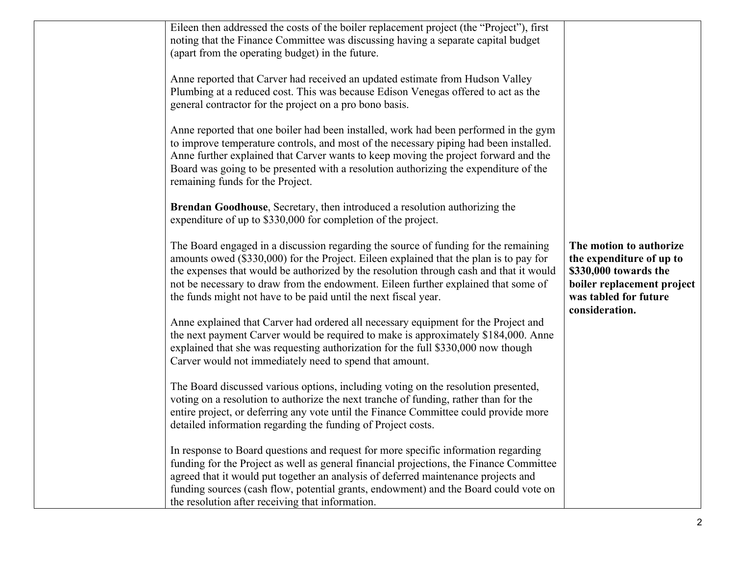| Eileen then addressed the costs of the boiler replacement project (the "Project"), first<br>noting that the Finance Committee was discussing having a separate capital budget<br>(apart from the operating budget) in the future.                                                                                                                                                                                                |                                                                                                                                                       |
|----------------------------------------------------------------------------------------------------------------------------------------------------------------------------------------------------------------------------------------------------------------------------------------------------------------------------------------------------------------------------------------------------------------------------------|-------------------------------------------------------------------------------------------------------------------------------------------------------|
| Anne reported that Carver had received an updated estimate from Hudson Valley<br>Plumbing at a reduced cost. This was because Edison Venegas offered to act as the<br>general contractor for the project on a pro bono basis.                                                                                                                                                                                                    |                                                                                                                                                       |
| Anne reported that one boiler had been installed, work had been performed in the gym<br>to improve temperature controls, and most of the necessary piping had been installed.<br>Anne further explained that Carver wants to keep moving the project forward and the<br>Board was going to be presented with a resolution authorizing the expenditure of the<br>remaining funds for the Project.                                 |                                                                                                                                                       |
| Brendan Goodhouse, Secretary, then introduced a resolution authorizing the<br>expenditure of up to \$330,000 for completion of the project.                                                                                                                                                                                                                                                                                      |                                                                                                                                                       |
| The Board engaged in a discussion regarding the source of funding for the remaining<br>amounts owed (\$330,000) for the Project. Eileen explained that the plan is to pay for<br>the expenses that would be authorized by the resolution through cash and that it would<br>not be necessary to draw from the endowment. Eileen further explained that some of<br>the funds might not have to be paid until the next fiscal year. | The motion to authorize<br>the expenditure of up to<br>\$330,000 towards the<br>boiler replacement project<br>was tabled for future<br>consideration. |
| Anne explained that Carver had ordered all necessary equipment for the Project and<br>the next payment Carver would be required to make is approximately \$184,000. Anne<br>explained that she was requesting authorization for the full \$330,000 now though<br>Carver would not immediately need to spend that amount.                                                                                                         |                                                                                                                                                       |
| The Board discussed various options, including voting on the resolution presented,<br>voting on a resolution to authorize the next tranche of funding, rather than for the<br>entire project, or deferring any vote until the Finance Committee could provide more<br>detailed information regarding the funding of Project costs.                                                                                               |                                                                                                                                                       |
| In response to Board questions and request for more specific information regarding<br>funding for the Project as well as general financial projections, the Finance Committee<br>agreed that it would put together an analysis of deferred maintenance projects and<br>funding sources (cash flow, potential grants, endowment) and the Board could vote on<br>the resolution after receiving that information.                  |                                                                                                                                                       |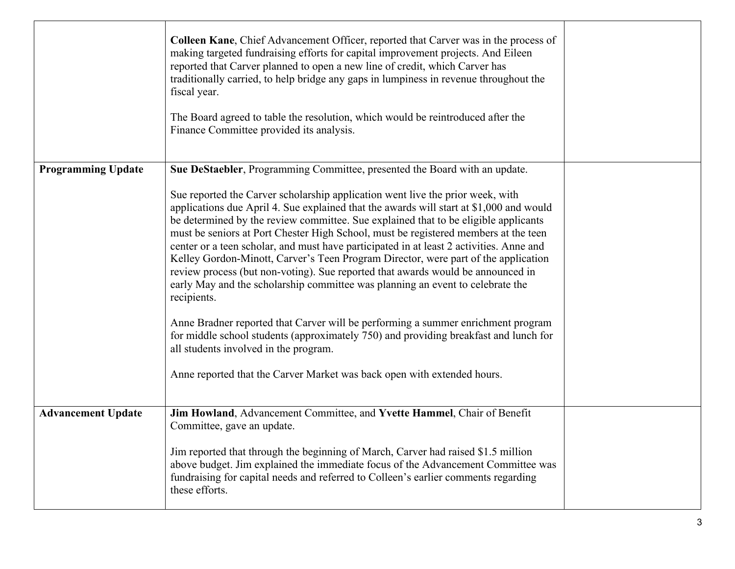|                           | Colleen Kane, Chief Advancement Officer, reported that Carver was in the process of<br>making targeted fundraising efforts for capital improvement projects. And Eileen<br>reported that Carver planned to open a new line of credit, which Carver has<br>traditionally carried, to help bridge any gaps in lumpiness in revenue throughout the<br>fiscal year.<br>The Board agreed to table the resolution, which would be reintroduced after the<br>Finance Committee provided its analysis.                                                                                                                                                                                                                                                                                                             |  |
|---------------------------|------------------------------------------------------------------------------------------------------------------------------------------------------------------------------------------------------------------------------------------------------------------------------------------------------------------------------------------------------------------------------------------------------------------------------------------------------------------------------------------------------------------------------------------------------------------------------------------------------------------------------------------------------------------------------------------------------------------------------------------------------------------------------------------------------------|--|
| <b>Programming Update</b> | Sue DeStaebler, Programming Committee, presented the Board with an update.<br>Sue reported the Carver scholarship application went live the prior week, with<br>applications due April 4. Sue explained that the awards will start at \$1,000 and would<br>be determined by the review committee. Sue explained that to be eligible applicants<br>must be seniors at Port Chester High School, must be registered members at the teen<br>center or a teen scholar, and must have participated in at least 2 activities. Anne and<br>Kelley Gordon-Minott, Carver's Teen Program Director, were part of the application<br>review process (but non-voting). Sue reported that awards would be announced in<br>early May and the scholarship committee was planning an event to celebrate the<br>recipients. |  |
|                           | Anne Bradner reported that Carver will be performing a summer enrichment program<br>for middle school students (approximately 750) and providing breakfast and lunch for<br>all students involved in the program.<br>Anne reported that the Carver Market was back open with extended hours.                                                                                                                                                                                                                                                                                                                                                                                                                                                                                                               |  |
| <b>Advancement Update</b> | Jim Howland, Advancement Committee, and Yvette Hammel, Chair of Benefit<br>Committee, gave an update.<br>Jim reported that through the beginning of March, Carver had raised \$1.5 million<br>above budget. Jim explained the immediate focus of the Advancement Committee was<br>fundraising for capital needs and referred to Colleen's earlier comments regarding<br>these efforts.                                                                                                                                                                                                                                                                                                                                                                                                                     |  |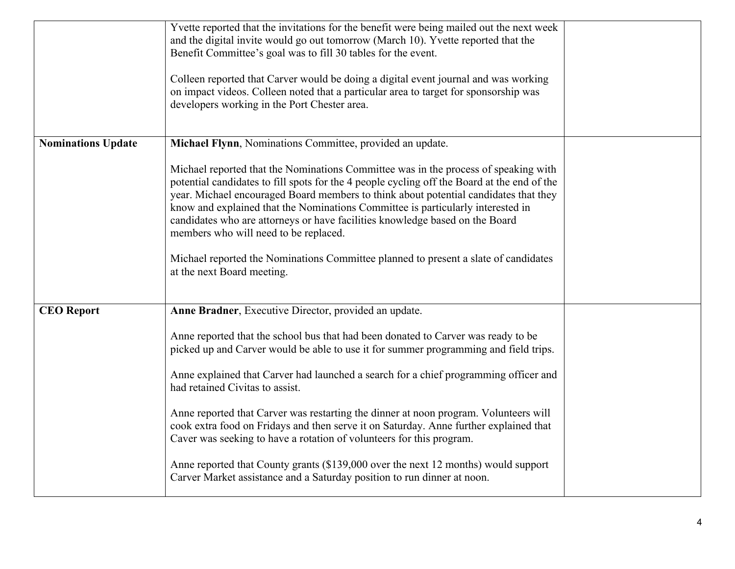|                           | Yvette reported that the invitations for the benefit were being mailed out the next week<br>and the digital invite would go out tomorrow (March 10). Yvette reported that the<br>Benefit Committee's goal was to fill 30 tables for the event.<br>Colleen reported that Carver would be doing a digital event journal and was working<br>on impact videos. Colleen noted that a particular area to target for sponsorship was<br>developers working in the Port Chester area.                                                                                                                                                                                                                                                                                                           |  |
|---------------------------|-----------------------------------------------------------------------------------------------------------------------------------------------------------------------------------------------------------------------------------------------------------------------------------------------------------------------------------------------------------------------------------------------------------------------------------------------------------------------------------------------------------------------------------------------------------------------------------------------------------------------------------------------------------------------------------------------------------------------------------------------------------------------------------------|--|
| <b>Nominations Update</b> | Michael Flynn, Nominations Committee, provided an update.<br>Michael reported that the Nominations Committee was in the process of speaking with<br>potential candidates to fill spots for the 4 people cycling off the Board at the end of the<br>year. Michael encouraged Board members to think about potential candidates that they<br>know and explained that the Nominations Committee is particularly interested in<br>candidates who are attorneys or have facilities knowledge based on the Board<br>members who will need to be replaced.<br>Michael reported the Nominations Committee planned to present a slate of candidates<br>at the next Board meeting.                                                                                                                |  |
| <b>CEO</b> Report         | Anne Bradner, Executive Director, provided an update.<br>Anne reported that the school bus that had been donated to Carver was ready to be<br>picked up and Carver would be able to use it for summer programming and field trips.<br>Anne explained that Carver had launched a search for a chief programming officer and<br>had retained Civitas to assist.<br>Anne reported that Carver was restarting the dinner at noon program. Volunteers will<br>cook extra food on Fridays and then serve it on Saturday. Anne further explained that<br>Caver was seeking to have a rotation of volunteers for this program.<br>Anne reported that County grants (\$139,000 over the next 12 months) would support<br>Carver Market assistance and a Saturday position to run dinner at noon. |  |